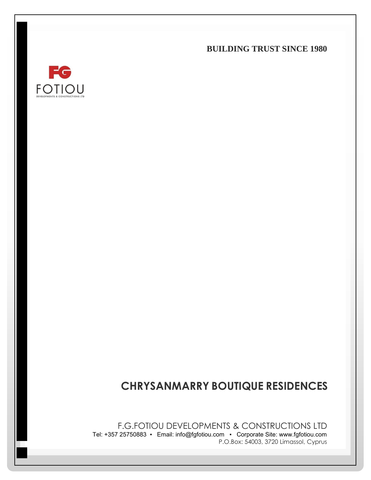**BUILDING TRUST SINCE 1980**



# **CHRYSANMARRY BOUTIQUE RESIDENCES**

F.G.FOTIOU DEVELOPMENTS & CONSTRUCTIONS LTD Tel: +357 25750883 ▪ Email: info@fgfotiou.com ▪ Corporate Site: www.fgfotiou.com P.O.Box: 54003, 3720 Limassol, Cyprus